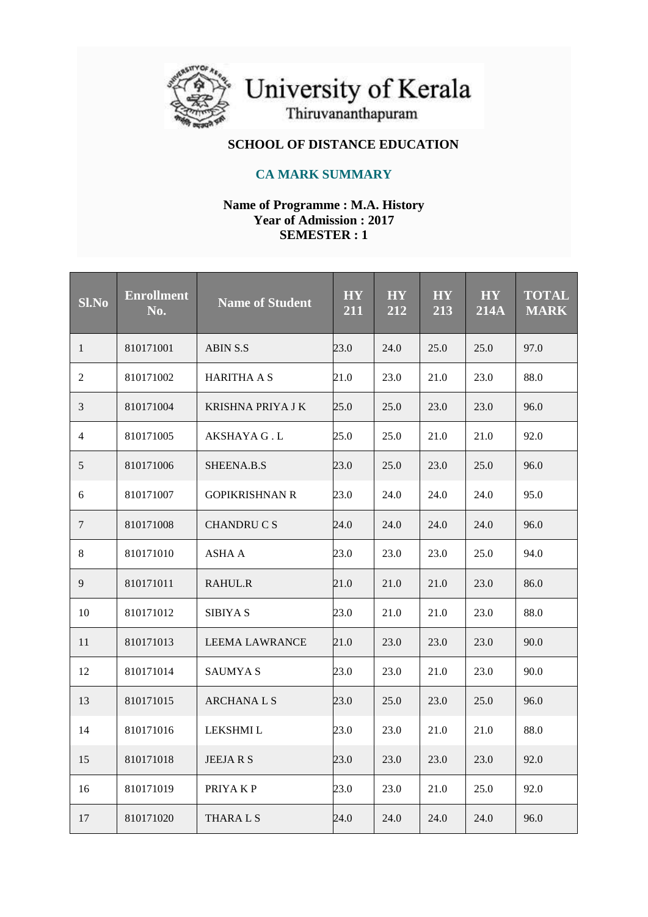

University of Kerala<br>Thiruvananthapuram

# **SCHOOL OF DISTANCE EDUCATION**

## **CA MARK SUMMARY**

#### **Name of Programme : M.A. History Year of Admission : 2017 SEMESTER : 1**

| <b>Sl.No</b> | <b>Enrollment</b><br>No. | <b>Name of Student</b> | <b>HY</b><br>211 | <b>HY</b><br>212 | <b>HY</b><br>$\overline{213}$ | <b>HY</b><br><b>214A</b> | <b>TOTAL</b><br><b>MARK</b> |
|--------------|--------------------------|------------------------|------------------|------------------|-------------------------------|--------------------------|-----------------------------|
| 1            | 810171001                | <b>ABIN S.S</b>        | 23.0             | 24.0             | 25.0                          | 25.0                     | 97.0                        |
| 2            | 810171002                | <b>HARITHA A S</b>     | 21.0             | 23.0             | 21.0                          | 23.0                     | 88.0                        |
| 3            | 810171004                | KRISHNA PRIYA J K      | 25.0             | 25.0             | 23.0                          | 23.0                     | 96.0                        |
| 4            | 810171005                | AKSHAYA G . L          | 25.0             | 25.0             | 21.0                          | 21.0                     | 92.0                        |
| 5            | 810171006                | SHEENA.B.S             | 23.0             | 25.0             | 23.0                          | 25.0                     | 96.0                        |
| 6            | 810171007                | <b>GOPIKRISHNAN R</b>  | 23.0             | 24.0             | 24.0                          | 24.0                     | 95.0                        |
| 7            | 810171008                | <b>CHANDRUCS</b>       | 24.0             | 24.0             | 24.0                          | 24.0                     | 96.0                        |
| 8            | 810171010                | <b>ASHA A</b>          | 23.0             | 23.0             | 23.0                          | 25.0                     | 94.0                        |
| 9            | 810171011                | RAHUL.R                | 21.0             | 21.0             | 21.0                          | 23.0                     | 86.0                        |
| 10           | 810171012                | <b>SIBIYA S</b>        | 23.0             | 21.0             | 21.0                          | 23.0                     | 88.0                        |
| 11           | 810171013                | <b>LEEMA LAWRANCE</b>  | 21.0             | 23.0             | 23.0                          | 23.0                     | 90.0                        |
| 12           | 810171014                | <b>SAUMYAS</b>         | 23.0             | 23.0             | 21.0                          | 23.0                     | 90.0                        |
| 13           | 810171015                | <b>ARCHANALS</b>       | 23.0             | 25.0             | 23.0                          | 25.0                     | 96.0                        |
| 14           | 810171016                | LEKSHMI L              | 23.0             | 23.0             | 21.0                          | 21.0                     | 88.0                        |
| 15           | 810171018                | JEEJA R S              | 23.0             | 23.0             | 23.0                          | 23.0                     | 92.0                        |
| 16           | 810171019                | PRIYAKP                | 23.0             | 23.0             | 21.0                          | 25.0                     | 92.0                        |
| 17           | 810171020                | THARA L S              | 24.0             | 24.0             | 24.0                          | 24.0                     | 96.0                        |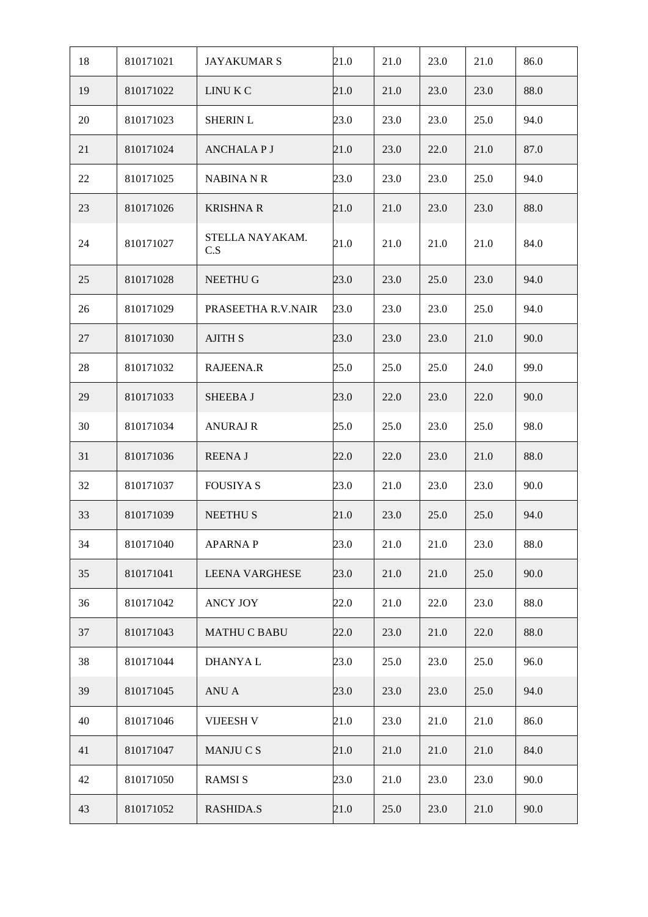| 18 | 810171021 | <b>JAYAKUMAR S</b>     | 21.0 | 21.0 | 23.0 | 21.0 | 86.0 |
|----|-----------|------------------------|------|------|------|------|------|
| 19 | 810171022 | LINU K C               | 21.0 | 21.0 | 23.0 | 23.0 | 88.0 |
| 20 | 810171023 | <b>SHERIN L</b>        | 23.0 | 23.0 | 23.0 | 25.0 | 94.0 |
| 21 | 810171024 | <b>ANCHALAPJ</b>       | 21.0 | 23.0 | 22.0 | 21.0 | 87.0 |
| 22 | 810171025 | <b>NABINA N R</b>      | 23.0 | 23.0 | 23.0 | 25.0 | 94.0 |
| 23 | 810171026 | <b>KRISHNA R</b>       | 21.0 | 21.0 | 23.0 | 23.0 | 88.0 |
| 24 | 810171027 | STELLA NAYAKAM.<br>C.S | 21.0 | 21.0 | 21.0 | 21.0 | 84.0 |
| 25 | 810171028 | NEETHU G               | 23.0 | 23.0 | 25.0 | 23.0 | 94.0 |
| 26 | 810171029 | PRASEETHA R.V.NAIR     | 23.0 | 23.0 | 23.0 | 25.0 | 94.0 |
| 27 | 810171030 | <b>AJITH S</b>         | 23.0 | 23.0 | 23.0 | 21.0 | 90.0 |
| 28 | 810171032 | RAJEENA.R              | 25.0 | 25.0 | 25.0 | 24.0 | 99.0 |
| 29 | 810171033 | SHEEBA J               | 23.0 | 22.0 | 23.0 | 22.0 | 90.0 |
| 30 | 810171034 | <b>ANURAJ R</b>        | 25.0 | 25.0 | 23.0 | 25.0 | 98.0 |
| 31 | 810171036 | <b>REENAJ</b>          | 22.0 | 22.0 | 23.0 | 21.0 | 88.0 |
| 32 | 810171037 | <b>FOUSIYA S</b>       | 23.0 | 21.0 | 23.0 | 23.0 | 90.0 |
| 33 | 810171039 | <b>NEETHUS</b>         | 21.0 | 23.0 | 25.0 | 25.0 | 94.0 |
| 34 | 810171040 | <b>APARNAP</b>         | 23.0 | 21.0 | 21.0 | 23.0 | 88.0 |
| 35 | 810171041 | <b>LEENA VARGHESE</b>  | 23.0 | 21.0 | 21.0 | 25.0 | 90.0 |
| 36 | 810171042 | <b>ANCY JOY</b>        | 22.0 | 21.0 | 22.0 | 23.0 | 88.0 |
| 37 | 810171043 | <b>MATHU C BABU</b>    | 22.0 | 23.0 | 21.0 | 22.0 | 88.0 |
| 38 | 810171044 | <b>DHANYAL</b>         | 23.0 | 25.0 | 23.0 | 25.0 | 96.0 |
| 39 | 810171045 | ANU A                  | 23.0 | 23.0 | 23.0 | 25.0 | 94.0 |
| 40 | 810171046 | <b>VIJEESH V</b>       | 21.0 | 23.0 | 21.0 | 21.0 | 86.0 |
| 41 | 810171047 | MANJU C S              | 21.0 | 21.0 | 21.0 | 21.0 | 84.0 |
| 42 | 810171050 | <b>RAMSIS</b>          | 23.0 | 21.0 | 23.0 | 23.0 | 90.0 |
| 43 | 810171052 | <b>RASHIDA.S</b>       | 21.0 | 25.0 | 23.0 | 21.0 | 90.0 |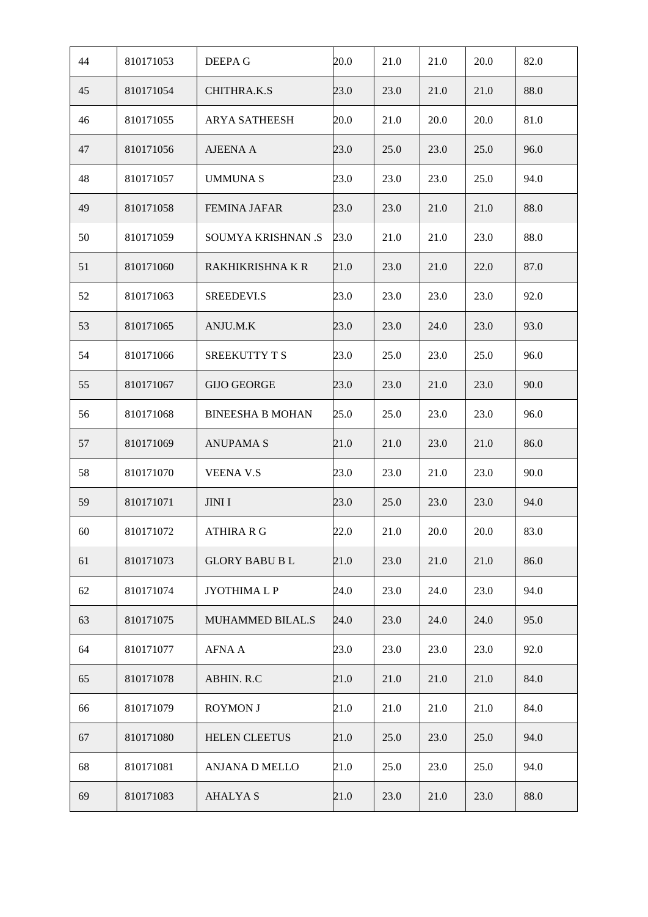| 44 | 810171053 | DEEPA G                 | 20.0 | 21.0 | 21.0 | 20.0 | 82.0 |
|----|-----------|-------------------------|------|------|------|------|------|
| 45 | 810171054 | CHITHRA.K.S             | 23.0 | 23.0 | 21.0 | 21.0 | 88.0 |
| 46 | 810171055 | <b>ARYA SATHEESH</b>    | 20.0 | 21.0 | 20.0 | 20.0 | 81.0 |
| 47 | 810171056 | <b>AJEENA A</b>         | 23.0 | 25.0 | 23.0 | 25.0 | 96.0 |
| 48 | 810171057 | <b>UMMUNAS</b>          | 23.0 | 23.0 | 23.0 | 25.0 | 94.0 |
| 49 | 810171058 | <b>FEMINA JAFAR</b>     | 23.0 | 23.0 | 21.0 | 21.0 | 88.0 |
| 50 | 810171059 | SOUMYA KRISHNAN .S      | 23.0 | 21.0 | 21.0 | 23.0 | 88.0 |
| 51 | 810171060 | RAKHIKRISHNA K R        | 21.0 | 23.0 | 21.0 | 22.0 | 87.0 |
| 52 | 810171063 | SREEDEVI.S              | 23.0 | 23.0 | 23.0 | 23.0 | 92.0 |
| 53 | 810171065 | ANJU.M.K                | 23.0 | 23.0 | 24.0 | 23.0 | 93.0 |
| 54 | 810171066 | SREEKUTTY T S           | 23.0 | 25.0 | 23.0 | 25.0 | 96.0 |
| 55 | 810171067 | <b>GIJO GEORGE</b>      | 23.0 | 23.0 | 21.0 | 23.0 | 90.0 |
| 56 | 810171068 | <b>BINEESHA B MOHAN</b> | 25.0 | 25.0 | 23.0 | 23.0 | 96.0 |
| 57 | 810171069 | <b>ANUPAMA S</b>        | 21.0 | 21.0 | 23.0 | 21.0 | 86.0 |
| 58 | 810171070 | <b>VEENA V.S</b>        | 23.0 | 23.0 | 21.0 | 23.0 | 90.0 |
| 59 | 810171071 | <b>JINI I</b>           | 23.0 | 25.0 | 23.0 | 23.0 | 94.0 |
| 60 | 810171072 | ATHIRA R G              | 22.0 | 21.0 | 20.0 | 20.0 | 83.0 |
| 61 | 810171073 | <b>GLORY BABU BL</b>    | 21.0 | 23.0 | 21.0 | 21.0 | 86.0 |
| 62 | 810171074 | <b>JYOTHIMALP</b>       | 24.0 | 23.0 | 24.0 | 23.0 | 94.0 |
| 63 | 810171075 | MUHAMMED BILAL.S        | 24.0 | 23.0 | 24.0 | 24.0 | 95.0 |
| 64 | 810171077 | <b>AFNA A</b>           | 23.0 | 23.0 | 23.0 | 23.0 | 92.0 |
| 65 | 810171078 | ABHIN. R.C              | 21.0 | 21.0 | 21.0 | 21.0 | 84.0 |
| 66 | 810171079 | <b>ROYMON J</b>         | 21.0 | 21.0 | 21.0 | 21.0 | 84.0 |
| 67 | 810171080 | <b>HELEN CLEETUS</b>    | 21.0 | 25.0 | 23.0 | 25.0 | 94.0 |
| 68 | 810171081 | ANJANA D MELLO          | 21.0 | 25.0 | 23.0 | 25.0 | 94.0 |
|    |           |                         |      |      |      |      |      |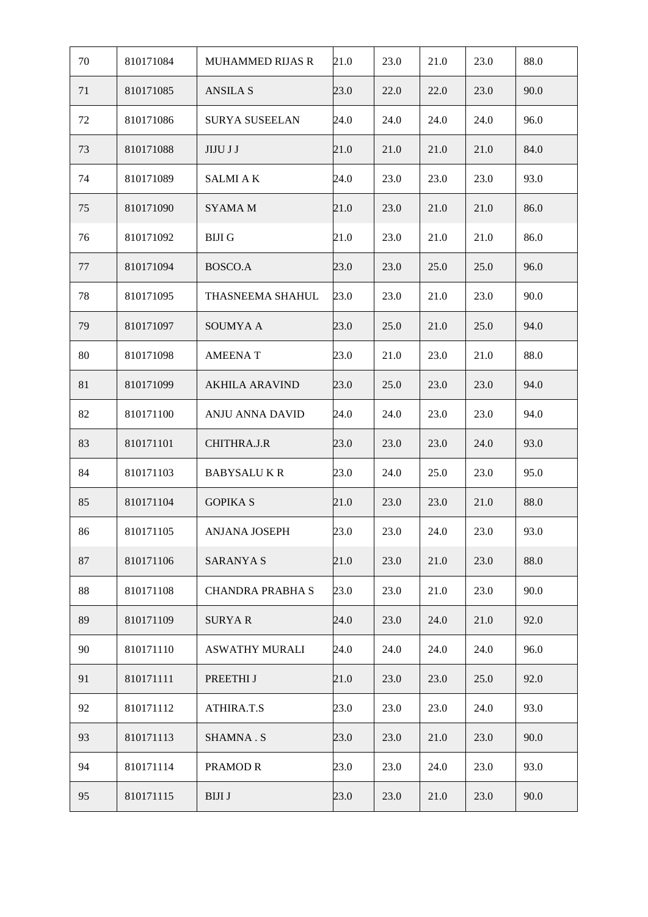| 70 | 810171084 | <b>MUHAMMED RIJAS R</b> | 21.0 | 23.0 | 21.0 | 23.0 | 88.0 |
|----|-----------|-------------------------|------|------|------|------|------|
| 71 | 810171085 | <b>ANSILA S</b>         | 23.0 | 22.0 | 22.0 | 23.0 | 90.0 |
| 72 | 810171086 | <b>SURYA SUSEELAN</b>   | 24.0 | 24.0 | 24.0 | 24.0 | 96.0 |
| 73 | 810171088 | <b>JIJU J J</b>         | 21.0 | 21.0 | 21.0 | 21.0 | 84.0 |
| 74 | 810171089 | <b>SALMI A K</b>        | 24.0 | 23.0 | 23.0 | 23.0 | 93.0 |
| 75 | 810171090 | SYAMA M                 | 21.0 | 23.0 | 21.0 | 21.0 | 86.0 |
| 76 | 810171092 | <b>BIJI G</b>           | 21.0 | 23.0 | 21.0 | 21.0 | 86.0 |
| 77 | 810171094 | BOSCO.A                 | 23.0 | 23.0 | 25.0 | 25.0 | 96.0 |
| 78 | 810171095 | THASNEEMA SHAHUL        | 23.0 | 23.0 | 21.0 | 23.0 | 90.0 |
| 79 | 810171097 | SOUMYA A                | 23.0 | 25.0 | 21.0 | 25.0 | 94.0 |
| 80 | 810171098 | <b>AMEENAT</b>          | 23.0 | 21.0 | 23.0 | 21.0 | 88.0 |
| 81 | 810171099 | <b>AKHILA ARAVIND</b>   | 23.0 | 25.0 | 23.0 | 23.0 | 94.0 |
| 82 | 810171100 | ANJU ANNA DAVID         | 24.0 | 24.0 | 23.0 | 23.0 | 94.0 |
| 83 | 810171101 | CHITHRA.J.R             | 23.0 | 23.0 | 23.0 | 24.0 | 93.0 |
| 84 | 810171103 | <b>BABYSALUKR</b>       | 23.0 | 24.0 | 25.0 | 23.0 | 95.0 |
| 85 | 810171104 | <b>GOPIKA S</b>         | 21.0 | 23.0 | 23.0 | 21.0 | 88.0 |
| 86 | 810171105 | ANJANA JOSEPH           | 23.0 | 23.0 | 24.0 | 23.0 | 93.0 |
| 87 | 810171106 | <b>SARANYAS</b>         | 21.0 | 23.0 | 21.0 | 23.0 | 88.0 |
| 88 | 810171108 | <b>CHANDRA PRABHA S</b> | 23.0 | 23.0 | 21.0 | 23.0 | 90.0 |
| 89 | 810171109 | <b>SURYAR</b>           | 24.0 | 23.0 | 24.0 | 21.0 | 92.0 |
| 90 | 810171110 | <b>ASWATHY MURALI</b>   | 24.0 | 24.0 | 24.0 | 24.0 | 96.0 |
| 91 | 810171111 | PREETHI J               | 21.0 | 23.0 | 23.0 | 25.0 | 92.0 |
| 92 | 810171112 | ATHIRA.T.S              | 23.0 | 23.0 | 23.0 | 24.0 | 93.0 |
| 93 | 810171113 | <b>SHAMNA.S</b>         | 23.0 | 23.0 | 21.0 | 23.0 | 90.0 |
| 94 | 810171114 | PRAMOD R                | 23.0 | 23.0 | 24.0 | 23.0 | 93.0 |
| 95 | 810171115 | <b>BIJI J</b>           | 23.0 | 23.0 | 21.0 | 23.0 | 90.0 |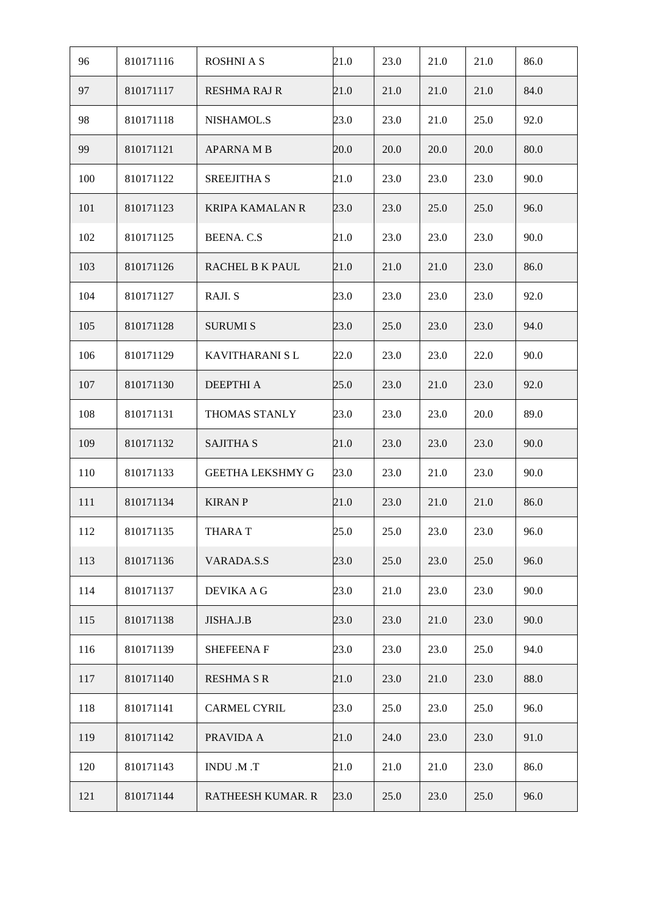| 96  | 810171116 | <b>ROSHNIAS</b>         | 21.0 | 23.0 | 21.0 | 21.0 | 86.0 |
|-----|-----------|-------------------------|------|------|------|------|------|
| 97  | 810171117 | <b>RESHMA RAJ R</b>     | 21.0 | 21.0 | 21.0 | 21.0 | 84.0 |
| 98  | 810171118 | NISHAMOL.S              | 23.0 | 23.0 | 21.0 | 25.0 | 92.0 |
| 99  | 810171121 | <b>APARNA M B</b>       | 20.0 | 20.0 | 20.0 | 20.0 | 80.0 |
| 100 | 810171122 | <b>SREEJITHA S</b>      | 21.0 | 23.0 | 23.0 | 23.0 | 90.0 |
| 101 | 810171123 | <b>KRIPA KAMALAN R</b>  | 23.0 | 23.0 | 25.0 | 25.0 | 96.0 |
| 102 | 810171125 | <b>BEENA.C.S</b>        | 21.0 | 23.0 | 23.0 | 23.0 | 90.0 |
| 103 | 810171126 | RACHEL B K PAUL         | 21.0 | 21.0 | 21.0 | 23.0 | 86.0 |
| 104 | 810171127 | RAJI. S                 | 23.0 | 23.0 | 23.0 | 23.0 | 92.0 |
| 105 | 810171128 | <b>SURUMI S</b>         | 23.0 | 25.0 | 23.0 | 23.0 | 94.0 |
| 106 | 810171129 | KAVITHARANI SL          | 22.0 | 23.0 | 23.0 | 22.0 | 90.0 |
| 107 | 810171130 | <b>DEEPTHI A</b>        | 25.0 | 23.0 | 21.0 | 23.0 | 92.0 |
| 108 | 810171131 | THOMAS STANLY           | 23.0 | 23.0 | 23.0 | 20.0 | 89.0 |
| 109 | 810171132 | <b>SAJITHA S</b>        | 21.0 | 23.0 | 23.0 | 23.0 | 90.0 |
| 110 | 810171133 | <b>GEETHA LEKSHMY G</b> | 23.0 | 23.0 | 21.0 | 23.0 | 90.0 |
| 111 | 810171134 | <b>KIRAN P</b>          | 21.0 | 23.0 | 21.0 | 21.0 | 86.0 |
| 112 | 810171135 | <b>THARA T</b>          | 25.0 | 25.0 | 23.0 | 23.0 | 96.0 |
| 113 | 810171136 | VARADA.S.S              | 23.0 | 25.0 | 23.0 | 25.0 | 96.0 |
| 114 | 810171137 | <b>DEVIKA A G</b>       | 23.0 | 21.0 | 23.0 | 23.0 | 90.0 |
| 115 | 810171138 | JISHA.J.B               | 23.0 | 23.0 | 21.0 | 23.0 | 90.0 |
| 116 | 810171139 | <b>SHEFEENAF</b>        | 23.0 | 23.0 | 23.0 | 25.0 | 94.0 |
| 117 | 810171140 | <b>RESHMA S R</b>       | 21.0 | 23.0 | 21.0 | 23.0 | 88.0 |
| 118 | 810171141 | <b>CARMEL CYRIL</b>     | 23.0 | 25.0 | 23.0 | 25.0 | 96.0 |
| 119 | 810171142 | PRAVIDA A               | 21.0 | 24.0 | 23.0 | 23.0 | 91.0 |
| 120 | 810171143 | INDU .M.T               | 21.0 | 21.0 | 21.0 | 23.0 | 86.0 |
| 121 | 810171144 | RATHEESH KUMAR. R       | 23.0 | 25.0 | 23.0 | 25.0 | 96.0 |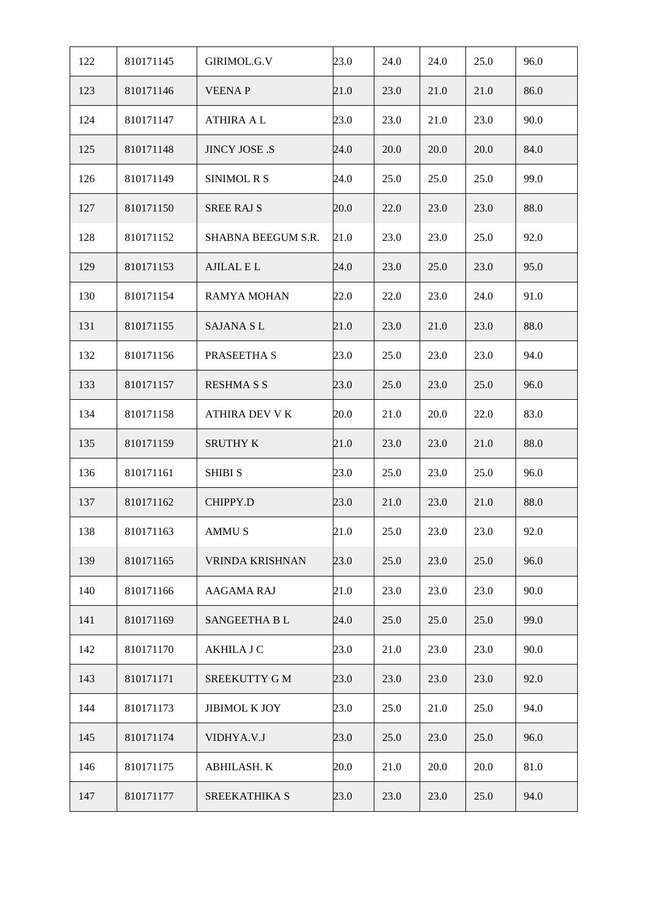| 122 | 810171145 | GIRIMOL.G.V          | 23.0 | 24.0 | 24.0 | 25.0 | 96.0 |
|-----|-----------|----------------------|------|------|------|------|------|
| 123 | 810171146 | <b>VEENAP</b>        | 21.0 | 23.0 | 21.0 | 21.0 | 86.0 |
| 124 | 810171147 | <b>ATHIRA A L</b>    | 23.0 | 23.0 | 21.0 | 23.0 | 90.0 |
| 125 | 810171148 | <b>JINCY JOSE .S</b> | 24.0 | 20.0 | 20.0 | 20.0 | 84.0 |
| 126 | 810171149 | <b>SINIMOL R S</b>   | 24.0 | 25.0 | 25.0 | 25.0 | 99.0 |
| 127 | 810171150 | <b>SREE RAJ S</b>    | 20.0 | 22.0 | 23.0 | 23.0 | 88.0 |
| 128 | 810171152 | SHABNA BEEGUM S.R.   | 21.0 | 23.0 | 23.0 | 25.0 | 92.0 |
| 129 | 810171153 | AJILAL E L           | 24.0 | 23.0 | 25.0 | 23.0 | 95.0 |
| 130 | 810171154 | RAMYA MOHAN          | 22.0 | 22.0 | 23.0 | 24.0 | 91.0 |
| 131 | 810171155 | <b>SAJANA SL</b>     | 21.0 | 23.0 | 21.0 | 23.0 | 88.0 |
| 132 | 810171156 | PRASEETHA S          | 23.0 | 25.0 | 23.0 | 23.0 | 94.0 |
| 133 | 810171157 | <b>RESHMA S S</b>    | 23.0 | 25.0 | 23.0 | 25.0 | 96.0 |
| 134 | 810171158 | ATHIRA DEV V K       | 20.0 | 21.0 | 20.0 | 22.0 | 83.0 |
| 135 | 810171159 | <b>SRUTHY K</b>      | 21.0 | 23.0 | 23.0 | 21.0 | 88.0 |
| 136 | 810171161 | <b>SHIBI S</b>       | 23.0 | 25.0 | 23.0 | 25.0 | 96.0 |
| 137 | 810171162 | CHIPPY.D             | 23.0 | 21.0 | 23.0 | 21.0 | 88.0 |
| 138 | 810171163 | AMMU S               | 21.0 | 25.0 | 23.0 | 23.0 | 92.0 |
| 139 | 810171165 | VRINDA KRISHNAN      | 23.0 | 25.0 | 23.0 | 25.0 | 96.0 |
| 140 | 810171166 | AAGAMA RAJ           | 21.0 | 23.0 | 23.0 | 23.0 | 90.0 |
| 141 | 810171169 | SANGEETHA BL         | 24.0 | 25.0 | 25.0 | 25.0 | 99.0 |
| 142 | 810171170 | <b>AKHILA J C</b>    | 23.0 | 21.0 | 23.0 | 23.0 | 90.0 |
| 143 | 810171171 | SREEKUTTY G M        | 23.0 | 23.0 | 23.0 | 23.0 | 92.0 |
| 144 | 810171173 | <b>JIBIMOL K JOY</b> | 23.0 | 25.0 | 21.0 | 25.0 | 94.0 |
| 145 | 810171174 | VIDHYA.V.J           | 23.0 | 25.0 | 23.0 | 25.0 | 96.0 |
| 146 | 810171175 | ABHILASH. K          | 20.0 | 21.0 | 20.0 | 20.0 | 81.0 |
| 147 | 810171177 | SREEKATHIKA S        | 23.0 | 23.0 | 23.0 | 25.0 | 94.0 |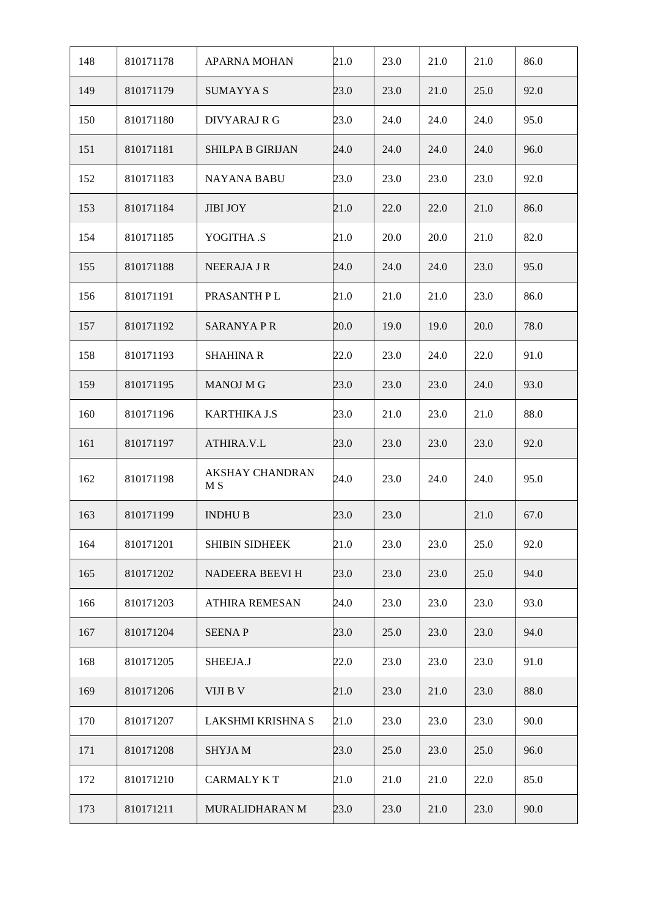| 148 | 810171178 | <b>APARNA MOHAN</b>           | 21.0 | 23.0 | 21.0 | 21.0 | 86.0 |
|-----|-----------|-------------------------------|------|------|------|------|------|
| 149 | 810171179 | <b>SUMAYYA S</b>              | 23.0 | 23.0 | 21.0 | 25.0 | 92.0 |
| 150 | 810171180 | DIVYARAJ R G                  | 23.0 | 24.0 | 24.0 | 24.0 | 95.0 |
| 151 | 810171181 | <b>SHILPA B GIRIJAN</b>       | 24.0 | 24.0 | 24.0 | 24.0 | 96.0 |
| 152 | 810171183 | NAYANA BABU                   | 23.0 | 23.0 | 23.0 | 23.0 | 92.0 |
| 153 | 810171184 | <b>JIBI JOY</b>               | 21.0 | 22.0 | 22.0 | 21.0 | 86.0 |
| 154 | 810171185 | YOGITHA .S                    | 21.0 | 20.0 | 20.0 | 21.0 | 82.0 |
| 155 | 810171188 | NEERAJA J R                   | 24.0 | 24.0 | 24.0 | 23.0 | 95.0 |
| 156 | 810171191 | PRASANTH PL                   | 21.0 | 21.0 | 21.0 | 23.0 | 86.0 |
| 157 | 810171192 | <b>SARANYAPR</b>              | 20.0 | 19.0 | 19.0 | 20.0 | 78.0 |
| 158 | 810171193 | <b>SHAHINA R</b>              | 22.0 | 23.0 | 24.0 | 22.0 | 91.0 |
| 159 | 810171195 | <b>MANOJ M G</b>              | 23.0 | 23.0 | 23.0 | 24.0 | 93.0 |
| 160 | 810171196 | <b>KARTHIKA J.S</b>           | 23.0 | 21.0 | 23.0 | 21.0 | 88.0 |
| 161 | 810171197 | ATHIRA.V.L                    | 23.0 | 23.0 | 23.0 | 23.0 | 92.0 |
| 162 | 810171198 | <b>AKSHAY CHANDRAN</b><br>M S | 24.0 | 23.0 | 24.0 | 24.0 | 95.0 |
| 163 | 810171199 | <b>INDHUB</b>                 | 23.0 | 23.0 |      | 21.0 | 67.0 |
| 164 | 810171201 | SHIBIN SIDHEEK                | 21.0 | 23.0 | 23.0 | 25.0 | 92.0 |
| 165 | 810171202 | NADEERA BEEVI H               | 23.0 | 23.0 | 23.0 | 25.0 | 94.0 |
| 166 | 810171203 | ATHIRA REMESAN                | 24.0 | 23.0 | 23.0 | 23.0 | 93.0 |
| 167 | 810171204 | <b>SEENAP</b>                 | 23.0 | 25.0 | 23.0 | 23.0 | 94.0 |
| 168 | 810171205 | SHEEJA.J                      | 22.0 | 23.0 | 23.0 | 23.0 | 91.0 |
| 169 | 810171206 | VIJI B V                      | 21.0 | 23.0 | 21.0 | 23.0 | 88.0 |
| 170 | 810171207 | LAKSHMI KRISHNA S             | 21.0 | 23.0 | 23.0 | 23.0 | 90.0 |
| 171 | 810171208 | <b>SHYJAM</b>                 | 23.0 | 25.0 | 23.0 | 25.0 | 96.0 |
| 172 | 810171210 | <b>CARMALY KT</b>             | 21.0 | 21.0 | 21.0 | 22.0 | 85.0 |
| 173 | 810171211 | MURALIDHARAN M                | 23.0 | 23.0 | 21.0 | 23.0 | 90.0 |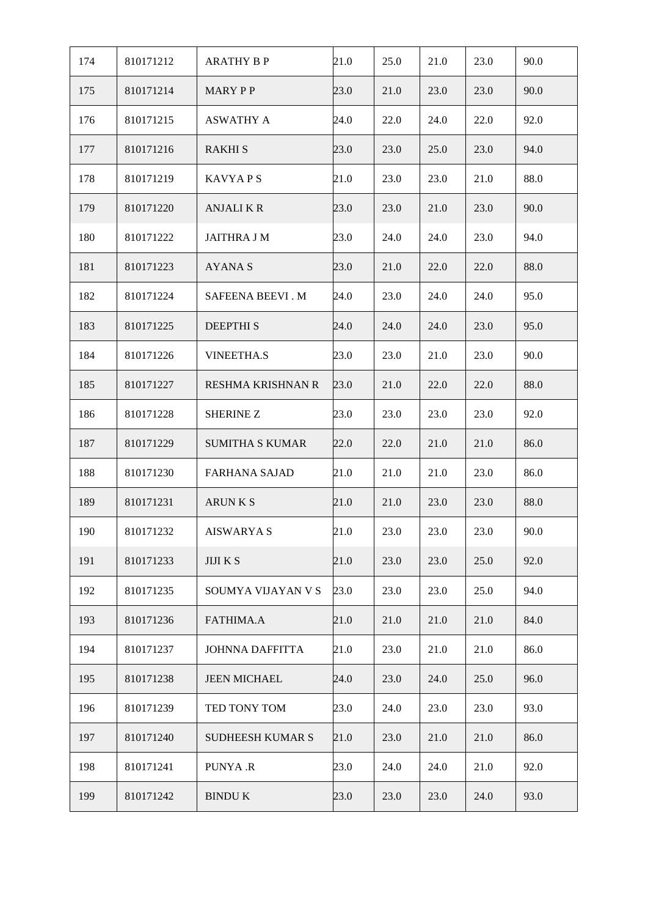| 174 | 810171212 | <b>ARATHY B P</b>        | 21.0 | 25.0 | 21.0 | 23.0 | 90.0 |
|-----|-----------|--------------------------|------|------|------|------|------|
| 175 | 810171214 | MARY PP                  | 23.0 | 21.0 | 23.0 | 23.0 | 90.0 |
| 176 | 810171215 | <b>ASWATHY A</b>         | 24.0 | 22.0 | 24.0 | 22.0 | 92.0 |
| 177 | 810171216 | <b>RAKHI S</b>           | 23.0 | 23.0 | 25.0 | 23.0 | 94.0 |
| 178 | 810171219 | <b>KAVYAPS</b>           | 21.0 | 23.0 | 23.0 | 21.0 | 88.0 |
| 179 | 810171220 | <b>ANJALIKR</b>          | 23.0 | 23.0 | 21.0 | 23.0 | 90.0 |
| 180 | 810171222 | <b>JAITHRA J M</b>       | 23.0 | 24.0 | 24.0 | 23.0 | 94.0 |
| 181 | 810171223 | AYANA S                  | 23.0 | 21.0 | 22.0 | 22.0 | 88.0 |
| 182 | 810171224 | SAFEENA BEEVI. M         | 24.0 | 23.0 | 24.0 | 24.0 | 95.0 |
| 183 | 810171225 | <b>DEEPTHIS</b>          | 24.0 | 24.0 | 24.0 | 23.0 | 95.0 |
| 184 | 810171226 | <b>VINEETHA.S</b>        | 23.0 | 23.0 | 21.0 | 23.0 | 90.0 |
| 185 | 810171227 | <b>RESHMA KRISHNAN R</b> | 23.0 | 21.0 | 22.0 | 22.0 | 88.0 |
| 186 | 810171228 | <b>SHERINE Z</b>         | 23.0 | 23.0 | 23.0 | 23.0 | 92.0 |
| 187 | 810171229 | <b>SUMITHA S KUMAR</b>   | 22.0 | 22.0 | 21.0 | 21.0 | 86.0 |
| 188 | 810171230 | <b>FARHANA SAJAD</b>     | 21.0 | 21.0 | 21.0 | 23.0 | 86.0 |
| 189 | 810171231 | <b>ARUNKS</b>            | 21.0 | 21.0 | 23.0 | 23.0 | 88.0 |
| 190 | 810171232 | <b>AISWARYA S</b>        | 21.0 | 23.0 | 23.0 | 23.0 | 90.0 |
| 191 | 810171233 | <b>JIJI K S</b>          | 21.0 | 23.0 | 23.0 | 25.0 | 92.0 |
| 192 | 810171235 | SOUMYA VIJAYAN V S       | 23.0 | 23.0 | 23.0 | 25.0 | 94.0 |
| 193 | 810171236 | <b>FATHIMA.A</b>         | 21.0 | 21.0 | 21.0 | 21.0 | 84.0 |
| 194 | 810171237 | <b>JOHNNA DAFFITTA</b>   | 21.0 | 23.0 | 21.0 | 21.0 | 86.0 |
| 195 | 810171238 | <b>JEEN MICHAEL</b>      | 24.0 | 23.0 | 24.0 | 25.0 | 96.0 |
| 196 | 810171239 | TED TONY TOM             | 23.0 | 24.0 | 23.0 | 23.0 | 93.0 |
| 197 | 810171240 | <b>SUDHEESH KUMAR S</b>  | 21.0 | 23.0 | 21.0 | 21.0 | 86.0 |
| 198 | 810171241 | PUNYA .R                 | 23.0 | 24.0 | 24.0 | 21.0 | 92.0 |
| 199 | 810171242 | <b>BINDU K</b>           | 23.0 | 23.0 | 23.0 | 24.0 | 93.0 |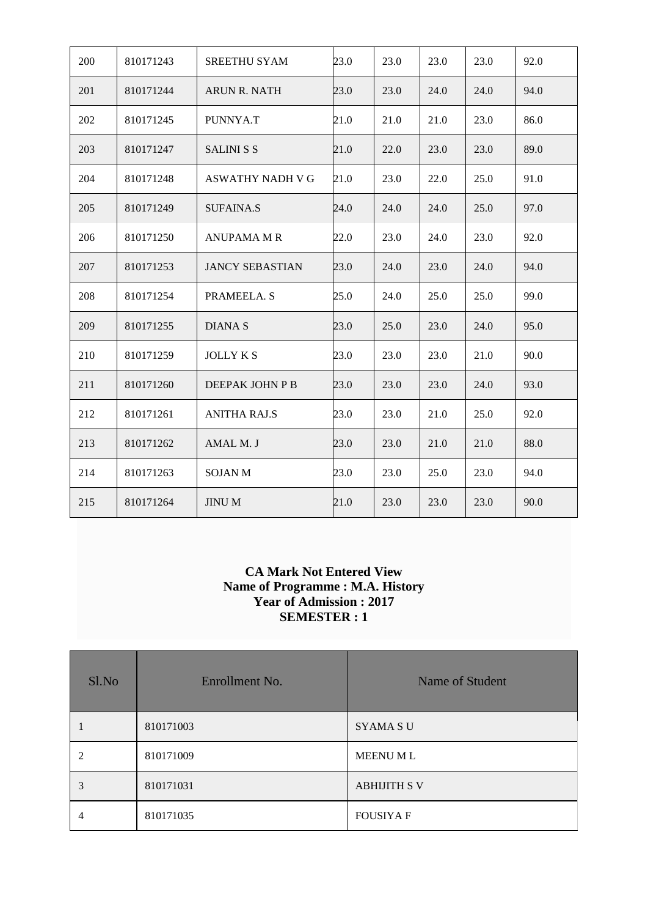| 200 | 810171243 | SREETHU SYAM           | 23.0 | 23.0 | 23.0 | 23.0 | 92.0 |
|-----|-----------|------------------------|------|------|------|------|------|
| 201 | 810171244 | ARUN R. NATH           | 23.0 | 23.0 | 24.0 | 24.0 | 94.0 |
| 202 | 810171245 | PUNNYA.T               | 21.0 | 21.0 | 21.0 | 23.0 | 86.0 |
| 203 | 810171247 | <b>SALINI S S</b>      | 21.0 | 22.0 | 23.0 | 23.0 | 89.0 |
| 204 | 810171248 | ASWATHY NADH V G       | 21.0 | 23.0 | 22.0 | 25.0 | 91.0 |
| 205 | 810171249 | <b>SUFAINA.S</b>       | 24.0 | 24.0 | 24.0 | 25.0 | 97.0 |
| 206 | 810171250 | <b>ANUPAMA M R</b>     | 22.0 | 23.0 | 24.0 | 23.0 | 92.0 |
| 207 | 810171253 | <b>JANCY SEBASTIAN</b> | 23.0 | 24.0 | 23.0 | 24.0 | 94.0 |
| 208 | 810171254 | PRAMEELA. S            | 25.0 | 24.0 | 25.0 | 25.0 | 99.0 |
| 209 | 810171255 | <b>DIANAS</b>          | 23.0 | 25.0 | 23.0 | 24.0 | 95.0 |
| 210 | 810171259 | <b>JOLLY K S</b>       | 23.0 | 23.0 | 23.0 | 21.0 | 90.0 |
| 211 | 810171260 | DEEPAK JOHN P B        | 23.0 | 23.0 | 23.0 | 24.0 | 93.0 |
| 212 | 810171261 | <b>ANITHA RAJ.S</b>    | 23.0 | 23.0 | 21.0 | 25.0 | 92.0 |
| 213 | 810171262 | AMAL M. J              | 23.0 | 23.0 | 21.0 | 21.0 | 88.0 |
| 214 | 810171263 | <b>SOJAN M</b>         | 23.0 | 23.0 | 25.0 | 23.0 | 94.0 |
| 215 | 810171264 | <b>JINUM</b>           | 21.0 | 23.0 | 23.0 | 23.0 | 90.0 |

### **CA Mark Not Entered View Name of Programme : M.A. History Year of Admission : 2017 SEMESTER : 1**

| Sl.No | Enrollment No. | Name of Student     |
|-------|----------------|---------------------|
|       | 810171003      | <b>SYAMA SU</b>     |
|       | 810171009      | MEENU ML            |
| 3     | 810171031      | <b>ABHIJITH S V</b> |
|       | 810171035      | <b>FOUSIYA F</b>    |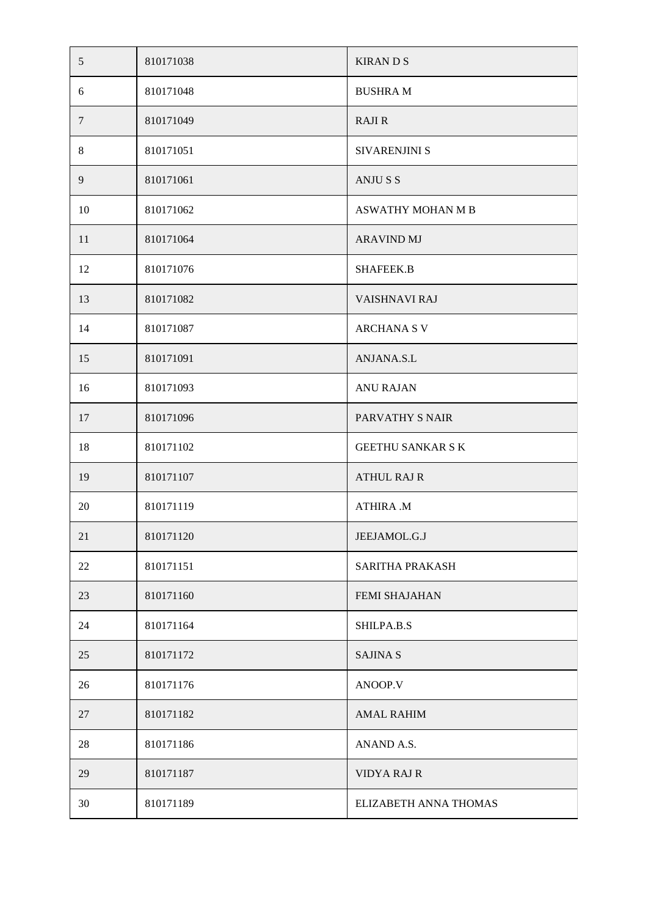| 5      | 810171038 | <b>KIRANDS</b>           |
|--------|-----------|--------------------------|
| 6      | 810171048 | <b>BUSHRAM</b>           |
| $\tau$ | 810171049 | <b>RAJIR</b>             |
| 8      | 810171051 | SIVARENJINI S            |
| 9      | 810171061 | <b>ANJUSS</b>            |
| 10     | 810171062 | ASWATHY MOHAN M B        |
| 11     | 810171064 | <b>ARAVIND MJ</b>        |
| 12     | 810171076 | <b>SHAFEEK.B</b>         |
| 13     | 810171082 | VAISHNAVI RAJ            |
| 14     | 810171087 | <b>ARCHANA S V</b>       |
| 15     | 810171091 | ANJANA.S.L               |
| 16     | 810171093 | <b>ANU RAJAN</b>         |
| 17     | 810171096 | PARVATHY S NAIR          |
| 18     | 810171102 | <b>GEETHU SANKAR S K</b> |
| 19     | 810171107 | <b>ATHUL RAJ R</b>       |
| 20     | 810171119 | <b>ATHIRA .M</b>         |
| 21     | 810171120 | JEEJAMOL.G.J             |
| 22     | 810171151 | SARITHA PRAKASH          |
| 23     | 810171160 | FEMI SHAJAHAN            |
| 24     | 810171164 | SHILPA.B.S               |
| 25     | 810171172 | <b>SAJINA S</b>          |
| 26     | 810171176 | ANOOP.V                  |
| 27     | 810171182 | <b>AMAL RAHIM</b>        |
| 28     | 810171186 | ANAND A.S.               |
| 29     | 810171187 | <b>VIDYA RAJ R</b>       |
| 30     | 810171189 | ELIZABETH ANNA THOMAS    |